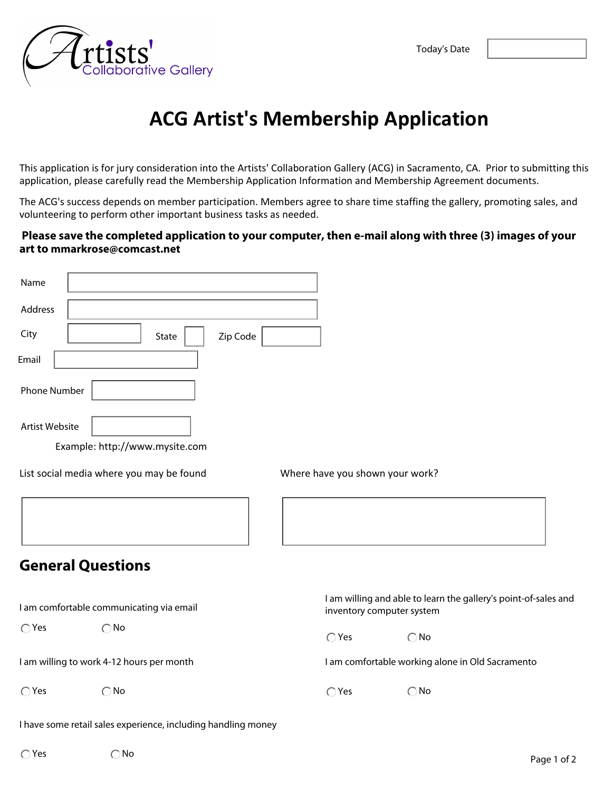

## **ACG Artist's Membership Application**

This application is for jury consideration into the Artists' Collaboration Gallery (ACG) in Sacramento, CA. Prior to submitting this application, please carefully read the Membership Application Information and Membership Agreement documents.

The ACG's success depends on member participation. Members agree to share time staffing the gallery, promoting sales, and volunteering to perform other important business tasks as needed.

## **Please save the completed application to your computer, then e-mail along with three (3) images of your art to mmarkrose@comcast.net**

| Name                                      |                                                               |                                                                                              |
|-------------------------------------------|---------------------------------------------------------------|----------------------------------------------------------------------------------------------|
| Address                                   |                                                               |                                                                                              |
| City                                      | Zip Code<br>State                                             |                                                                                              |
| Email                                     |                                                               |                                                                                              |
| Phone Number                              |                                                               |                                                                                              |
| <b>Artist Website</b>                     | Example: http://www.mysite.com                                |                                                                                              |
|                                           | List social media where you may be found                      | Where have you shown your work?                                                              |
|                                           |                                                               |                                                                                              |
|                                           | <b>General Questions</b>                                      |                                                                                              |
|                                           | I am comfortable communicating via email                      | I am willing and able to learn the gallery's point-of-sales and<br>inventory computer system |
| $\bigcirc$ Yes                            | $\bigcirc$ No                                                 | $\bigcirc$ Yes<br>$\bigcirc$ No                                                              |
| I am willing to work 4-12 hours per month |                                                               | I am comfortable working alone in Old Sacramento                                             |
| $\bigcirc$ Yes                            | $\bigcirc$ No                                                 | $\bigcirc$ No<br>$\bigcirc$ Yes                                                              |
|                                           | I have some retail sales experience, including handling money |                                                                                              |
| $\bigcap$ Yes                             | $\bigcirc$ No                                                 |                                                                                              |